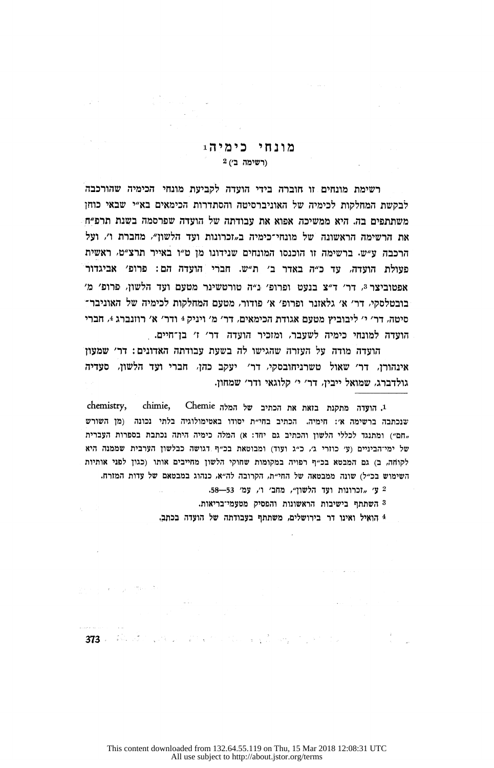## מונחי כימיה:  $2(2)$  (רשימה בי

רשימת מונחים זו חוברה בידי הועדה לקביעת מונחי הכימיה שהורכבה לבקשת המחלקות לכימיה של האוניברסיטה והסתדרות הכימאים בא״י שבאי כוחז משתתפים בה. היא ממשיכה אפוא את עבודתה של הועדה שפרסמה בשנת תרפ"ח את הרשימה הראשונה של מונחי־כימיה ב~זכרונות ועד הלשון״. מחברת ו׳. ועל הרכבה ע"ש. ברשימה זו הוכנסו המונחים שנידונו מן ט"ו באייר תרצ"ט. ראשית פעולת הועדה, עד כ״ה באדר ב׳ ת״ש. חברי הועדה הם: פרופ׳ אביגדור 'מ ידר הלשון, הדעו השנישטרופי ה"מ מורטשינר מטעם ועד הלשון, ה בובטלסקי, דר׳ א׳ גלאזנר ופרופ׳ א׳ פודור, מטעם המחלקות לכימיה של האוניבר־ סיטה, דר׳ י׳ ליבוביץ מטעם אגודת הכימאים, דר׳ מ׳ ויניק 4 ודר׳ א׳ רוזנברג 4, חברי הועדה למונחי כימיה לשעבר, ומזכיר הועדה דר׳ ז׳ בן־חיים.

הועדה מודה על העזרה שהגישו לה בשעת עבודתה האדונים: דר׳ שמעון אינהורז, דר׳ שאול טשרניחובסקי, דר׳ יעקב כהז, חברי ועד הלשון, סעדיה .גולדברג. שמואל ייביז. דר' י' קלוגאי ודר' שמחוז.

chemistry, chimie, Chemie הועדה מתקנת בזאת את הכתיב של המלה שנכתבה ברשימה א׳: חימיה. הכתיב בחי״ת יסודו באטימולוגיה בלתי נכונה (מן השורש תחם") ומתנגד לכללי הלשון והכתיב גם יחד: א) המלה כימיה היתה נכתבת בספרות העברית של ימי־הביניים (ע׳ כוזרי ג׳, כ״ג ועוד) ומבוטאת בכ״ף דגושה כבלשון הערבית שממנה היא לקוחה, ב) גם המבטא בכ״ף רפויה במקומות שחוקי הלשון מחייבים אותו (כגון לפני אותיות השימוש בכ"ל) שונה ממבטאה של החי"ת, הקרובה לה"א, כנהוג במבטאם של עדות המזרח.

58. שי הוכרונות ועד הלשוו״, מחב׳ ו׳, עמ׳ 53.

.<br>השתתף בישיבות הראשונות והפסיק מטעמי־בריאות

4 הואיל ואינו דר בירושלים, משתתף בעבודתה של הועדה בכתב.

373 - West Concert Communication of the Communication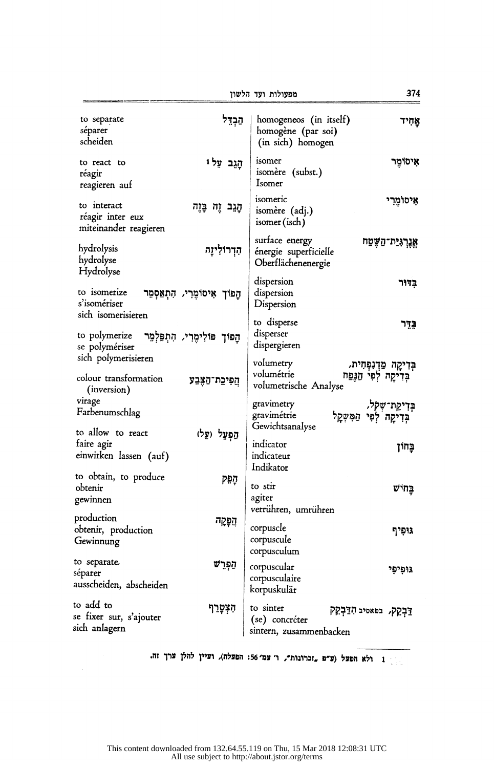ןושלה דעו תולועפמ 374

| to separate<br>séparer<br>scheiden                          | הַבְדֵל                            | homogeneos (in itself)<br>homogène (par soi)<br>(in sich) homogen                     | אחיד                                                       |
|-------------------------------------------------------------|------------------------------------|---------------------------------------------------------------------------------------|------------------------------------------------------------|
| to react to<br>réagir<br>reagieren auf                      | הַגֵּב עַלּוּ                      | isomer<br>isomère (subst.)<br>Isomer                                                  | איסומר                                                     |
| to interact<br>réagir inter eux<br>miteinander reagieren    | הָגֵב זֶה בָּזֶה                   | isomeric<br>isomère (adj.)<br>isomer (isch)                                           | אִיּסוֹמֵרִי                                               |
| hydrolysis<br>hydrolyse<br>Hydrolyse                        | הִדְרוֹלִיזָה                      | surface energy<br>énergie superficielle<br>Oberflächenenergie                         | <b>אֱנֶרְגִיַּת־הַשֶּׁטַח</b>                              |
| to isomerize<br>s'isomériser                                | הַפּוֹךְ אִיסוֹמֶרִי, הִתְאַסְמֵר  | dispersion<br>dispersion<br>Dispersion                                                | בְדור                                                      |
| sich isomerisieren<br>to polymerize<br>se polymériser       | הָפוֹךְ פּוֹלִימֶרִי, הִתְפַּלְמֵר | to disperse<br>disperser<br>dispergieren                                              | בּדֵר                                                      |
| sich polymerisieren<br>colour transformation<br>(inversion) | הֲפִיכֵת־הַצֶּבַע                  | volumetry<br>volumétrie<br>volumetrische Analyse                                      | בְּדִיקָה מַדְנִפְּחִית,<br>בְּדִיקָה לְפִי הַגָּפַח       |
| virage<br>Farbenumschlag<br>to allow to react               |                                    | gravimetry<br>gravimétrie<br>Gewichtsanalyse                                          | בְּדִיקַת־שְׁק <i>ְלּ</i> ,<br>בְּדִיקָה לְפִי הַמִּשְׁקַל |
| faire agir<br>einwirken lassen (auf)                        | הַפְעֵל (עַל)                      | indicator<br>indicateur<br>Indikator                                                  | בַּחוֹן                                                    |
| to obtain, to produce<br>obtenir<br>gewinnen                | הִפְק                              | to stir<br>agiter<br>verrühren, umrühren                                              | בַּחיש                                                     |
| production<br>obtenir, production<br>Gewinnung              | הַפְקַה                            | corpuscle<br>corpuscule<br>corpusculum                                                | גופיף                                                      |
| to separate.<br>séparer<br>ausscheiden, abscheiden          | הַפְרִש                            | corpuscular<br>corpusculaire<br>korpuskulär                                           | גופיפי                                                     |
| to add to<br>se fixer sur, s'ajouter<br>sich anlagern       | הִצְטָרֵף                          | to sinter<br>דַּבְקֵק, בפּאסיב הָדַבְקֵק<br>(se) concréter<br>sintern, zusammenbacken |                                                            |

הזה ולא הפעל (ע"פ בדרונות", ו' עמ' 56: הפעלה), ועיין להלן ערך זה.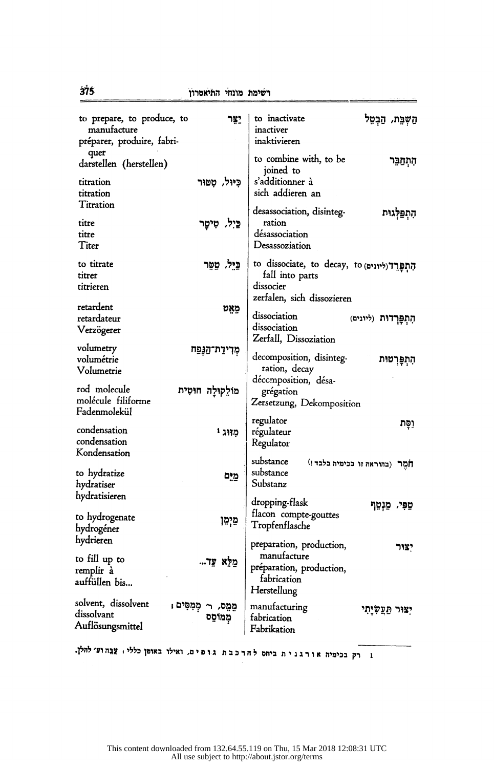| to prepare, to produce, to<br>manufacture<br>préparer, produire, fabri- | יצר                               | to inactivate<br>inactiver<br>inaktivieren                                                            | הַשְׁבֵּת, הַבְמֵל             |
|-------------------------------------------------------------------------|-----------------------------------|-------------------------------------------------------------------------------------------------------|--------------------------------|
| quer<br>darstellen (herstellen)                                         |                                   | to combine with, to be<br>joined to                                                                   | הִתְחַבֵּר                     |
| titration<br>titration                                                  | כִּיּוּל, טְטוּר                  | s'additionner à<br>sich addieren an                                                                   |                                |
| Titration<br>titre<br>titre<br>Titer                                    | כֵּיִל, טִיטָר                    | desassociation, disinteg-<br>ration<br>désassociation<br>Desassoziation                               | הִתְפַּלְגוּת                  |
| to titrate<br>titrer<br>titrieren                                       | כֵּיֵל, טַמֶּר                    | to dissociate, to decay, to (ליונים) to<br>fall into parts<br>dissocier<br>zerfalen, sich dissozieren |                                |
| retardent<br>retardateur<br>Verzögerer                                  | מְאֵט                             | dissociation<br>dissociation<br>Zerfall, Dissoziation                                                 | הַתְפָּרְדוּת (ליונים)         |
| volumetry<br>volumétrie<br>Volumetrie                                   | מִרִידַת־הַגְּפַח                 | decomposition, disinteg-<br>ration, decay                                                             | הִתְפְרְטוּת                   |
| rod molecule<br>molécule filiforme<br>Fadenmolekül                      | מולקולה חוסית                     | décemposition, désa-<br>grégation<br>Zersetzung, Dekomposition                                        |                                |
| condensation<br>condensation<br>Kondensation                            | מווג י                            | regulator<br>régulateur<br>Regulator                                                                  | וַסַּת                         |
| to hydratize<br>hydratiser                                              | מֵיִם                             | substance<br>substance<br>Substanz                                                                    | חָמֶר (בהוראה זו בכימיה בלבד!) |
| hydratisieren<br>to hydrogenate<br>hydrogéner                           | פַיְמֵן                           | dropping-flask<br>flacon compte-gouttes<br>Tropfenflasche                                             | טַפִּי, מַנְטֵף                |
| hydrieren<br>to fill up to<br>remplir à<br>auffüllen bis…               | מַלֵּא עַד                        | preparation, production,<br>manufacture<br>préparation, production,<br>fabrication<br>Herstellung     | יצור                           |
| solvent, dissolvent<br>dissolvant<br>Auflösungsmittel                   | מֵמֵם, ר׳ מְמִסִּים ;<br>מִמוֹסֵם | manufacturing<br>fabrication<br>Fabrikation                                                           | יצור תַעֲשְיַתִי               |
|                                                                         |                                   |                                                                                                       |                                |

נ רק בכימיה אורגנית ביחס להרכבת גופים, ואילו באופן כללי: עַבָּהוּצ׳להלן.

 $375$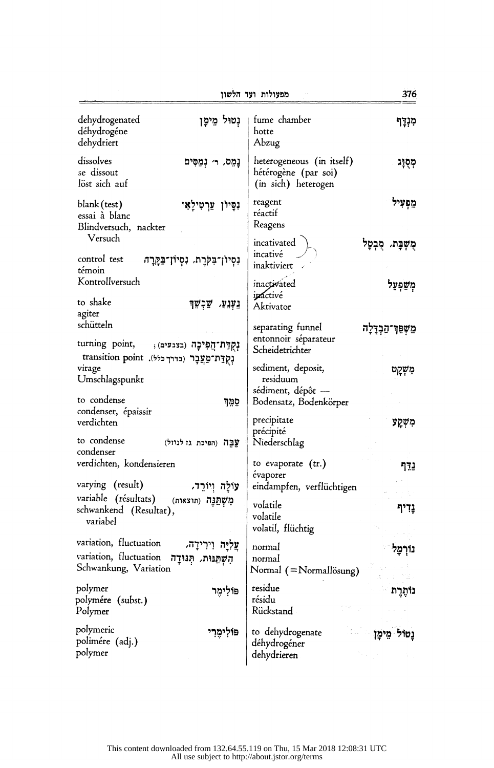376 מפעולות ועד הלשוז נטול מימן fume chamber dehydrogenated מִנְדַף déhydrogéne hotte dehydriert Abzug dissolves heterogeneous (in itself) נמס, ר׳ נמסים מִסְוַג se dissout hétérogène (par soi) löst sich auf (in sich) heterogen reagent מפעיל blank (test) נסיון ערטילאי réactif essai à blanc Reagens Blindversuch, nackter Versuch incativated מֻשְׁבָּת, מִבְטַל incativé control test נְסְיוֹן־בִּקְרָת, נְסְיוֹן־בַּקֲרָה inaktiviert témoin Kontrollversuch inactivated משפעל inactivé to shake נַעִּנְעַ*,* שַׁכִשֵּׁך Aktivator agiter schütteln separating funnel מַשִׁפִּר־הַבְרַלַה entonnoir séparateur turning point, נִקְדַת־הַפִּיכָה (בצבעים); Scheidetrichter נְקְדַת־מַעֲבָר (בדרך כלל). transition point sediment, deposit, virage מִשְקַט Umschlagspunkt residuum sédiment, dépôt to condense Bodensatz, Bodenkörper סמד condenser, épaissir precipitate verdichten משקע précipité to condense עֲבֶה (הפיכת גז לגוזל) Niederschlag condenser verdichten, kondensieren to evaporate  $(tr.)$ נדף évaporer varying (result) עולה ויורד, eindampfen, verflüchtigen variable (résultats) מְשָׁתֲנָה (תוצאות) volatile נַדִיף schwankend (Resultat), volatile variabel volatil, flüchtig variation, fluctuation עַלְיַה וִירִידַה, normal נורמל הִשְׁתַּנוּת, הְנוּדַה variation, fluctuation normal Schwankung, Variation Normal (=Normallösung) residue polymer פּוֹלִימֵר נותרת résidu polymére (subst.) Rückstand Polymer polymeric פולימרי to dehydrogenate נטול מימן polimére (adj.) déhydrogéner polymer dehydrieren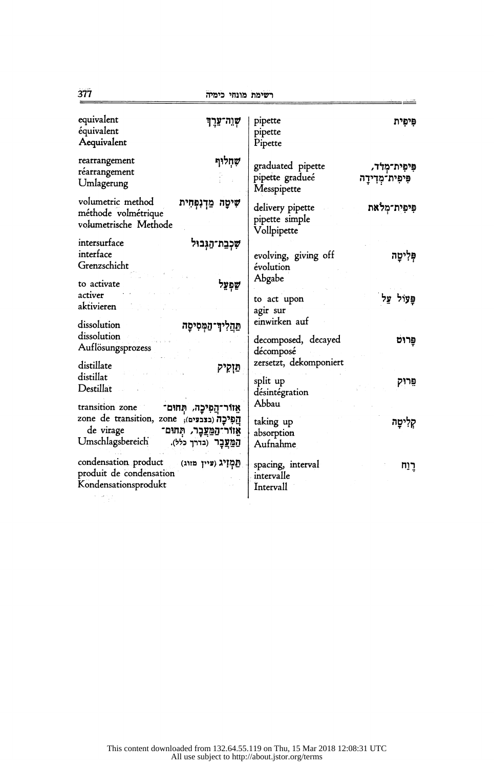|                                                                                                                                                                              | ו שינות בובותי                                                                              |
|------------------------------------------------------------------------------------------------------------------------------------------------------------------------------|---------------------------------------------------------------------------------------------|
| equivalent                                                                                                                                                                   | pipette                                                                                     |
| שְׁוֵה־עֵרֶךְ                                                                                                                                                                | פיפית                                                                                       |
| équivalent                                                                                                                                                                   | pipette                                                                                     |
| Aequivalent                                                                                                                                                                  | Pipette                                                                                     |
| שְׁחְלוּף<br>rearrangement<br>réarrangement<br>Umlagerung                                                                                                                    | graduated pipette<br>פִּיפִית־מְדוֹ,<br>pipette gradueé<br>פִּיפִית־מִדְידַה<br>Messpipette |
| volumetric method                                                                                                                                                            | פִּיפִית־מִלֹאת                                                                             |
| שִׁיטָה מַדְנִפְּחִית                                                                                                                                                        | delivery pipette                                                                            |
| méthode volmétrique                                                                                                                                                          | pipette simple                                                                              |
| volumetrische Methode                                                                                                                                                        | Vollpipette                                                                                 |
| intersurface<br>שִׁכְבַת־הַגְּבוּל<br>interface<br>Grenzschicht                                                                                                              | evolving, giving off<br>פְּלִיטָה<br>évolution                                              |
| to activate                                                                                                                                                                  | Abgabe                                                                                      |
| שַפְעַל                                                                                                                                                                      | פַּעוֹל על                                                                                  |
| activer                                                                                                                                                                      | to act upon                                                                                 |
| aktivieren                                                                                                                                                                   | agir sur                                                                                    |
| dissolution                                                                                                                                                                  | einwirken auf                                                                               |
| תַּהֲלִיךְ־הַמְּסִי <b>סָה</b>                                                                                                                                               | decomposed, decayed                                                                         |
| dissolution                                                                                                                                                                  | פַרוּט                                                                                      |
| Auflösungsprozess                                                                                                                                                            | décomposé                                                                                   |
| distillate                                                                                                                                                                   | zersetzt, dekomponiert                                                                      |
| פּוְקִיק                                                                                                                                                                     | split up                                                                                    |
| distillat                                                                                                                                                                    | פֵרוֹק                                                                                      |
| Destillat                                                                                                                                                                    | désintégration                                                                              |
| transition zone<br>אֵזוֹר־הֲפִיכָה, תְּחוּם־<br>zone de transition, zone ;(בצבעים),<br>de virage<br>אֵווֹר־הַמַּעֲבָר, תְּחוּם־<br>Umschlagsbereich<br>הַמֲעֲבָר (בדרך כלל). | Abbau<br>taking up<br>קליטַה<br>absorption<br>Aufnahme                                      |
| condensation product                                                                                                                                                         | spacing, interval                                                                           |
| ַהַמְזִיג (פיין מזוג)                                                                                                                                                        | רַוַח                                                                                       |
| produit de condensation                                                                                                                                                      | intervalle                                                                                  |
| Kondensationsprodukt                                                                                                                                                         | Intervall                                                                                   |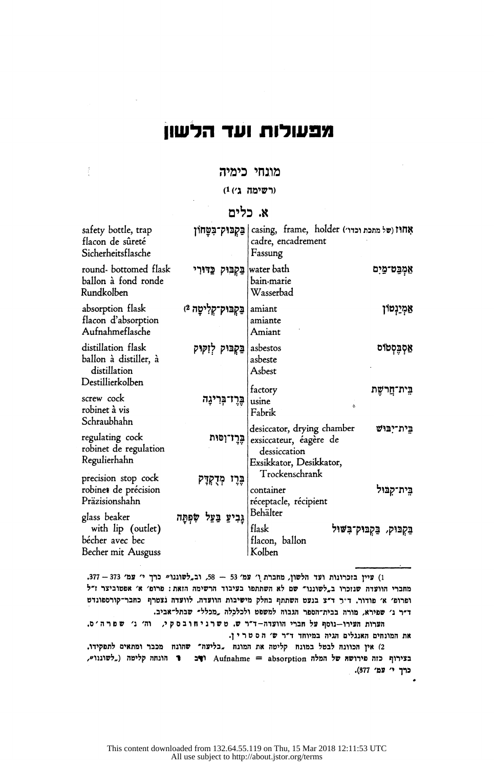# מפעולות ועד הלשוו

## מונחי כימיה

 $\tilde{\mathcal{E}}$ 

#### (רשימה ג') 1)

# א. כלים

| safety bottle, trap<br>flacon de sûreté<br>Sicherheitsflasche                   | בַּקְבּוּק־בִּטַַחוֹן    | casing, frame, holder (של מתכת וכדו׳)<br>cadre, encadrement<br>Fassung                                          |
|---------------------------------------------------------------------------------|--------------------------|-----------------------------------------------------------------------------------------------------------------|
| round-bottomed flask<br>ballon à fond ronde<br>Rundkolben                       | בַּקְבִוּק כַּדּוּרִי    | water bath<br>אַמְבַּט־מַיִם<br>bain-marie<br>Wasserbad                                                         |
| absorption flask<br>flacon d'absorption<br>Aufnahmeflasche                      | בַּקְבּוּק־קְלִיטָה 2ּ)  | <u>אַמְיַנְ</u> טוֹן<br>amiant<br>amiante<br>Amiant                                                             |
| distillation flask<br>ballon à distiller, à<br>distillation<br>Destillierkolben | בַּקְבּוּק לְזִקּוּק     | אַסְבֶּסְטוֹס<br>asbestos<br>asbeste<br>Asbest                                                                  |
| screw cock<br>robinet à vis<br>Schraubhahn                                      | בֶּרֶז־בְּרִינֶה         | factory<br>בֵּית־חֲרשֶׁת<br>usine<br>$\alpha$<br>Fabrik                                                         |
| regulating cock<br>robinet de regulation<br>Regulierhahn                        | בֶּרֶז־וְסוּת            | desiccator, drying chamber<br>בית־יִבּוּשׁ<br>exsiccateur, éagère de<br>dessiccation<br>Exsikkator, Desikkator, |
| precision stop cock<br>robinet de précision<br>Präzisionshahn                   | בֶּרֶי מְדָקְדָק         | Trockenschrank<br>בֵית־קִבּוּל<br>container<br>réceptacle, récipient                                            |
| glass beaker<br>with lip (outlet)<br>bécher avec bec<br>Becher mit Ausguss      | גָּבִיעַ בַּעַל שִׂפְתָה | Behälter<br>flask<br>בַּקְבּוּק, בַּקְבּוּק־בִּשׁוּל<br>flacon, ballon<br>Kolben                                |

1) עיין בזכרונות ועד הלשון, מחברת ו' עמ' 53 - 58, וב, לשוננו" כרך י' עמ' 373 - 377. מחברי הוועדה שנזכרו ב, לשוננו" שם לא השתתפו בעיבוד הרשימה הזאת: פרופ' א' אפטוביצר ז"ל ופרופ' א' פודור, ד"ר ד"צ בנעט השתתף בחלק מישיבות הוועדה. לוועדה נצטרף כחבר־קורספונדט ד"ר ג' שפירא, מורה בבית־הספר הגבוה למשפט ולכלכלה ,מכלל" שבתל־אביב.

הערות העירו-גוסף על חברי הוועדה-ד"ר ש. טשרני חובס קי, וה׳ ג׳ שפר ה׳ס. את המונחים האנגלים הגיה במיוחד ד"ר ש' הסטרין.

2) אין הכוונה לבטל במונח קליטה את המונח . בליעה" שהונח מכבר ומתאים לתפקידו. בצירוף כזה פירושת של המלה Aufnahme = absorption ופכ זה הונחה קליטה ("לשוננו", כרך י' עמ' 377).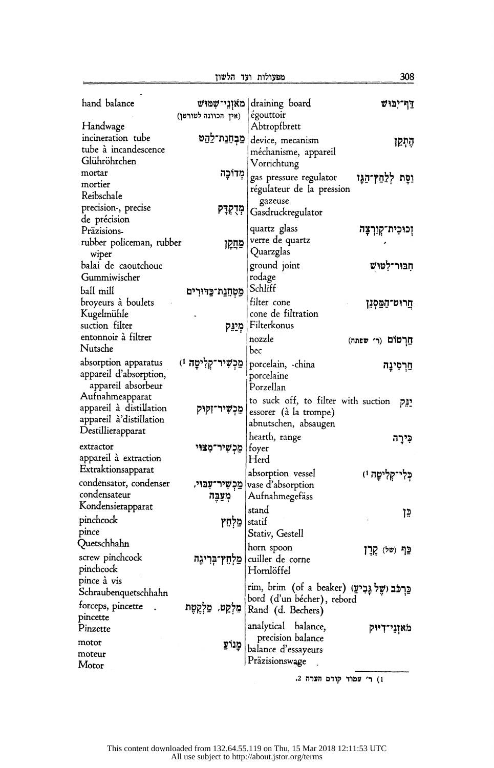$\equiv$ 

| hand balance                                                                               | מאוְנֵי־שָׁמוּשׁ               | draining board                                                                                       | <u>דף־יִבּוּשׁ</u>        |
|--------------------------------------------------------------------------------------------|--------------------------------|------------------------------------------------------------------------------------------------------|---------------------------|
|                                                                                            | (אין הכוונה לטורטן)            | égouttoir<br>Abtropfbrett                                                                            |                           |
| Handwage<br>incineration tube<br>tube à incandescence<br>Glühröhrchen                      | <b>ַ</b> פְּבְחֶנַת־לַהַט      | device, mecanism<br>méchanisme, appareil<br>Vorrichtung                                              | הֶתְקֵן                   |
| mortar<br>mortier<br>Reibschale                                                            | מְדוֹכָה                       | gas pressure regulator<br>régulateur de la pression                                                  | וַפָּת לְלַחַץ־הַגָּו     |
| precision-, precise<br>de précision                                                        | מְּדָקִדָּק                    | gazeuse<br>Gasdruckregulator                                                                         |                           |
| Präzisions.<br>rubber policeman, rubber<br>wiper                                           | מַקְזָ                         | quartz glass<br>verre de quartz<br>Quarzglas                                                         | וְכוּכִית־קְוַךְצָה       |
| balai de caoutchouc<br>Gummiwischer<br>ball mill                                           | מֵטְחֵנַת־כַּדּוּרִים          | ground joint<br>rodage<br>Schliff                                                                    | חִבּוּר־לְטוּשׁ           |
| broyeurs à boulets<br>Kugelmühle<br>suction filter                                         | מְיַנֵּק                       | filter cone<br>cone de filtration<br>Filterkonus                                                     | <b>ְחֵרוּט־הַמֵּסְנֵן</b> |
| entonnoir à filtrer<br>Nutsche                                                             |                                | nozzle<br>bec                                                                                        | חַרְטוֹם (ר׳ שפתה)        |
| absorption apparatus<br>appareil d'absorption,<br>appareil absorbeur                       | פַּכְשִׁיר־קְלִיטָה 1)         | porcelain, -china<br>porcelaine<br>Porzellan                                                         | חַרְסִינָה                |
| Aufnahmeapparat<br>appareil à distillation<br>appareil à'distillation<br>Destillierapparat | פַּכְשִׁיר־זִקוּק              | to suck off, to filter with suction<br>essorer (à la trompe)<br>abnutschen, absaugen                 | יוק                       |
|                                                                                            |                                | hearth, range                                                                                        | כִּירָה                   |
| extractor<br>appareil à extraction<br>Extraktionsapparat                                   | ַמַכְשִׁיר־מָצוּי              | foyer<br>Herd                                                                                        |                           |
| condensator, condenser<br>condensateur                                                     | מַכִשִּיר־עִבּוּי,<br>מְעַבֶּה | absorption vessel<br>vase d'absorption<br>Aufnahmegefäss                                             | כְּלִי־קְלִיטָה וּ)       |
| Kondensierapparat<br>pinchcock<br>pince                                                    | מַלְחֵץ                        | stand<br>statif<br>Stativ, Gestell                                                                   | בּו                       |
| Quetschhahn<br>screw pinchcock<br>pinchcock                                                | מַלְחֵץ־בְּרִיגָה              | horn spoon<br>cuiller de corne<br>Hornlöffel                                                         | ⊆ף (של) קֶרֶן             |
| pince à vis<br>Schraubenquetschhahn<br>forceps, pincette.                                  | מַלְקֵט, מַלְקֶטֶת             | rim, brim (of a beaker) (פֵרְכֹּב וִשֶׁל גָּבִיעַ<br>bord (d'un bécher), rebord<br>Rand (d. Bechers) |                           |
| pincette<br>Pinzette<br>motor                                                              | <b>ְמֲנוֹעַ</b>                | analytical balance,<br>precision balance<br>balance d'essayeurs                                      | מאזְנֵי־דִיּוּק           |
| moteur<br>Motor                                                                            |                                | Präzisionswage                                                                                       |                           |
|                                                                                            |                                | ו) ר׳ עמוד קודם הערה 2.                                                                              |                           |

308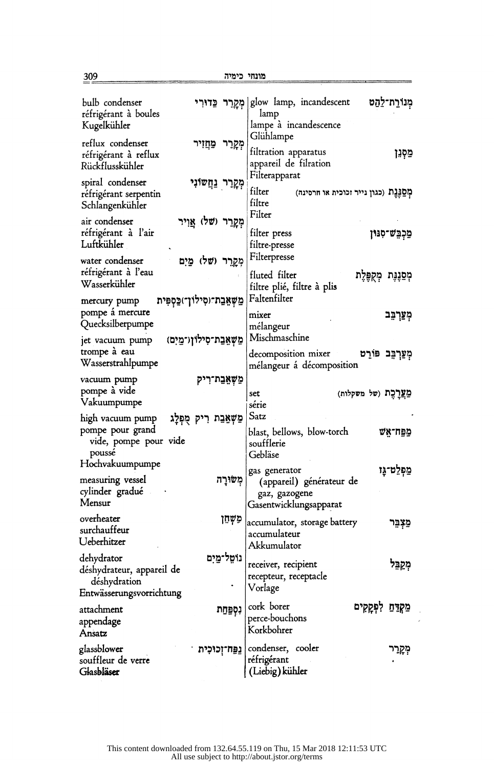מונחי כימיה **הימיכות ומונחי כימיה** 

| bulb condenser<br>réfrigérant à boules<br>Kugelkühler                               | מְקָרֵר כֵּדוּרִי                | מִנוֹרַח־לַהַט<br>glow lamp, incandescent<br>lamp<br>lampe à incandescence<br>Glühlampe             |  |
|-------------------------------------------------------------------------------------|----------------------------------|-----------------------------------------------------------------------------------------------------|--|
| reflux condenser<br>réfrigérant à reflux<br>Rückflusskühler                         | מְקָרֵר<br>מַחֲזִיר              | filtration apparatus<br>מַסְנֵן<br>appareil de filration                                            |  |
| spiral condenser<br>réfrigérant serpentin<br>Schlangenkühler                        | מְקָרֵר נַּחֲשוֹנִי              | Filterapparat<br>filter<br>מְסַבְּנֶת (כגון נייר זכוכית או חרסינה)<br>filtre                        |  |
| air condenser<br>réfrigérant à l'air<br>Luftkühler                                  | מְקָרֵר (של)<br>אויר             | Filter<br><b>ַ</b> פַּכְבֵּשׁ־סִגּוּן<br>filter press<br>filtre-presse                              |  |
| water condenser<br>réfrigérant à l'eau<br>Wasserkühler                              | מִקַרֵר (שַׁל)<br>מים            | Filterpresse<br>fluted filter<br>לִסַּנָּנָּת מְקֻפֶּלֶת<br>filtre plié, filtre à plis              |  |
| mercury pump<br>pompe á mercure<br>Quecksilberpumpe                                 | מַשָּאֲבַת־וּסִילוֹן־)כַּסְפִּית | Faltenfilter<br>מְעַרְבֵּב<br>mixer<br>mélangeur                                                    |  |
| jet vacuum pump<br>trompe à eau<br>Wasserstrahlpumpe                                | מַשְאֲבַת־סִילוֹןו־מֵיִם)        | Mischmaschine<br>decomposition mixer<br>מְעַרְבִּב פּוֹרֵט<br>mélangeur á décomposition             |  |
| vacuum pump<br>pompe à vide<br>Vakuumpumpe                                          | פַשָׁאֲבַת־רִיק                  | פַּצֲרֶכֶת (של משקלות)<br>set<br>série                                                              |  |
| high vacuum pump<br>pompe pour grand<br>vide, pompe pour vide<br>poussé             | פַשְאֲבַת רִיק מֻפְּלָג          | Satz<br>blast, bellows, blow-torch<br>פַּחַ־אָשׁ<br>soufflerie<br>Gebläse                           |  |
| Hochvakuumpumpe<br>measuring vessel<br>cylinder gradué<br>Mensur                    | משורה                            | מַפְלֵט־גָו<br>gas generator<br>(appareil) générateur de<br>gaz, gazogene<br>Gasentwicklungsapparat |  |
| overheater<br>surchauffeur<br>Ueberhitzer                                           | פִשְׁחֵן                         | accumulator, storage battery <br>פִצְבֵר<br>accumulateur<br>Akkumulator                             |  |
| dehydrator<br>déshydrateur, appareil de<br>déshydration<br>Entwässerungsvorrichtung | נוֹמֵל־מַיִם                     | receiver, recipient<br>מְקַבִּל<br>recepteur, receptacle<br>Vorlage                                 |  |
| attachment<br>appendage<br>Ansatz                                                   | נִסְפַּחַת                       | cork borer<br>מַקְדֵּחַ לִפְקָקִים<br>perce-bouchons<br>Korkbohrer                                  |  |
| glassblower<br>souffleur de verre<br>Glasbläser                                     | נַפַּח־זְכוּכִית                 | condenser, cooler<br>מְקְרֵר<br>réfrigérant<br>$\bullet$<br>(Liebig) kühler                         |  |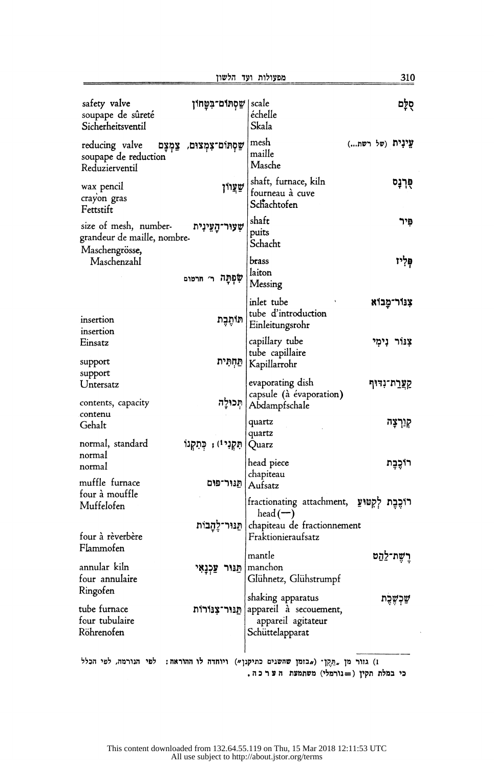| הלשון |  | מפעולות ועד |
|-------|--|-------------|
|-------|--|-------------|

310

| safety valve<br>soupape de sûreté<br>Sicherheitsventil                 | שַסְתּוּם־בִּטַחוֹן          | scale<br>échelle<br>Skala                                                            | סִלַּם           |
|------------------------------------------------------------------------|------------------------------|--------------------------------------------------------------------------------------|------------------|
| reducing valve<br>soupape de reduction<br>Reduzierventil               | שַׁסְתּוֹם־צִמְצוּם, צַמְצָם | mesh<br>maille<br>Masche                                                             | עֲינִית (של רשת) |
| wax pencil<br>crayon gras<br>Fettstift                                 | שַׁצַױן                      | shaft, furnace, kiln<br>fourneau à cuve<br>Schachtofen                               | 약견               |
| size of mesh, number-<br>grandeur de maille, nombre-<br>Maschengrösse, | שְעוּר־הַעֵינִית             | shaft<br>puits<br>Schacht                                                            | פיר              |
| Maschenzahl                                                            | שָׁפְתַּה ר׳ חרטום           | brass<br>laiton<br>Messing                                                           | פְּלְיו          |
| insertion<br>insertion                                                 | תותִכָּת                     | inlet tube<br>tube d'introduction<br>Einleitungsrohr                                 | צִנּוֹר־מַַבוֹא  |
| Einsatz<br>support                                                     | תַּחְתִּית                   | capillary tube<br>tube capillaire<br>Kapillarrohr                                    | צנור נימי        |
| support<br>Untersatz<br>contents, capacity                             | תְכולה                       | evaporating dish<br>capsule (à évaporation)<br>Abdampfschale                         | קְעֲרַת־נִדּוּף  |
| contenu<br>Gehalt<br>normal, standard                                  | תִּקְנִי!) , כִּתְקְנוֹ      | quartz<br>quartz<br>Quarz                                                            | קַנַרְצָה        |
| normal<br>normal<br>muffle furnace                                     | תנור־פום                     | head piece<br>chapiteau<br>Aufsatz                                                   | רוֹכֶבֶת         |
| four à mouffle<br>Muffelofen                                           |                              | רוֹכֶבֶת לְקְטוּעַ ,fractionating attachment<br>head $(-)$                           |                  |
| four à rèverbère<br>Flammofen                                          | תַּנּוּר־לֵהָבוֹת            | chapiteau de fractionnement<br>Fraktionieraufsatz<br>mantle                          | רֵשֶׁת־לַהַט     |
| annular kiln<br>four annulaire<br>Ringofen                             | עַכְנָאִי<br>פנור            | manchon<br>Glühnetz, Glühstrumpf                                                     |                  |
| tube furnace<br>four tubulaire<br>Röhrenofen                           | תֵנּוּר־צָנּוֹרוֹת           | shaking apparatus<br>appareil à secouement,<br>appareil agitateur<br>Schüttelapparat |                  |
|                                                                        |                              | ו) גזור מן "חֵקֶן" ("בזמן שהשגים כתיקגן") ויוחדה לו ההוראה: לפי הגורמה, לפי הכלל     |                  |

כי במלת תקין (=נורמלי) משתמעת הערכה.

 $\ddot{\phantom{a}}$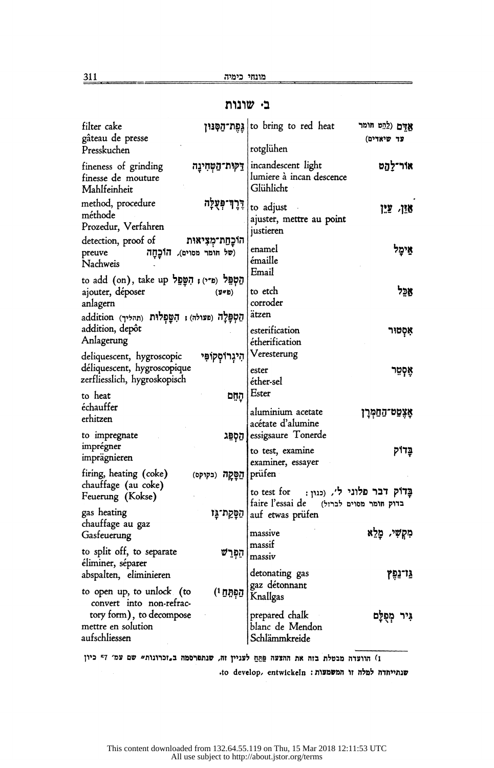# בי שונות

| filter cake<br>gâteau de presse                                                                                                              | to bring to red heat  גֵפֵת־הַסְנוּן<br>אַדָם (לַהֵט חומר<br>עד שיאדים)<br>rotglühen                           |
|----------------------------------------------------------------------------------------------------------------------------------------------|----------------------------------------------------------------------------------------------------------------|
| Presskuchen                                                                                                                                  | incandescent light<br>אור־לַהַט                                                                                |
| fineness of grinding<br>דַק <b>וּת־הַטְחִינֵה</b><br>finesse de mouture<br>Mahlfeinheit                                                      | lumiere à incan descence<br>Glühlicht                                                                          |
| <b>דְרֶךְ־פְּעֻלְה</b><br>method, procedure<br>méthode<br>Prozedur, Verfahren                                                                | to adjust<br>אוי עו<br>ajuster, mettre au point<br>justieren                                                   |
| detection, proof of<br>הוּכָחַת־מִצִיאוּת<br>(של חומר מסוים), הוכחה<br>preuve<br>Nachweis                                                    | enamel<br>אֵימֵל<br>émaille<br>Email                                                                           |
| to add (on), take up נִקְפֵּל (a*י) ; הִשָּׁפֵל<br>ajouter, déposer<br>(37)<br>anlagern<br>הַטְפָּלָה (פעולה); הָשָּׁפְלוּת (תהליך) addition | אַכֵּל<br>to etch<br>corroder<br>ätzen                                                                         |
| addition, depôt<br>Anlagerung<br>deliquescent, hygroscopic<br>הִיגְרוֹסְקוֹפִּי                                                              | esterification<br>אִסְטוּר<br>étherification<br>Veresterung                                                    |
| déliquescent, hygroscopique<br>zerfliesslich, hygroskopisch                                                                                  | ester<br>אָסְטֵר<br>éther-sel<br>Ester                                                                         |
| to heat<br>הָחָם<br>échauffer<br>erhitzen                                                                                                    | aluminium acetate<br><b>אָצֶפַט־הַחַמְרָן</b><br>acétate d'alumine                                             |
| to impregnate<br>הַסְפֵּג<br>imprégner<br>imprägnieren                                                                                       | essigsaure Tonerde<br>to test, examine<br>בַּדוֹק<br>examiner, essayer                                         |
| firing, heating (coke)<br>הַפַּקָה (בקוקס)                                                                                                   | prüfen                                                                                                         |
| chauffage (au coke)<br>Feuerung (Kokse)<br>gas heating<br>הַפָּקַת־גָּו                                                                      | בַּדוֹק דִבר פלוני ל׳, (כגון:<br>to test for<br>faire l'essai de<br>בדוק חומר מסוים לברזל)<br>auf etwas prüfen |
| chauffage au gaz<br>Gasfeuerung                                                                                                              | מִקְשִׁי, מָלֵא<br>massive                                                                                     |
| to split off, to separate<br>הַפְּרַשׁ<br>éliminer, séparer                                                                                  | massif<br>massiv                                                                                               |
| abspalten, eliminieren                                                                                                                       | detonating gas<br>צַּרֹנֵפֶץ                                                                                   |
| to open up, to unlock (to<br>הַפְּתֵחַ <sup>1</sup><br>convert into non-refrac-                                                              | gaz détonnant<br>Knallgas                                                                                      |
| tory form), to decompose<br>mettre en solution<br>aufschliessen                                                                              | prepared chalk<br>גִּיר מְפְלַָם<br>blanc de Mendon<br>Schlämmkreide                                           |

ו) הוועדה מבטלת בזה את ההצעה פַחֲחַ לעניין זה, שנתפרסמה ב,זכרונות "שם עמ' 57 כיון

יט. to develop, entwickeln : שנתייחדה למלה זו המשמעות: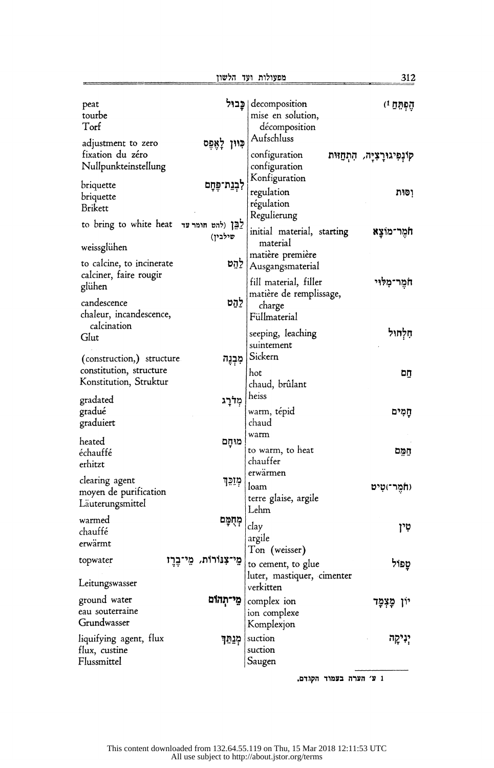| peat<br>tourbe<br>Torf                                |                      | decomposition   פֵבוּל<br>mise en solution, | הֶפְתֵּחַ וּ                    |
|-------------------------------------------------------|----------------------|---------------------------------------------|---------------------------------|
|                                                       |                      | décomposition<br>Aufschluss                 |                                 |
| adjustment to zero<br>fixation du zéro                | כִּוּוּן לְאֶפֶּס    |                                             |                                 |
| Nullpunkteinstellung                                  |                      | configuration<br>configuration              | קינְפִיגוּרָצִיָּה, הִתְחַזּוּת |
|                                                       |                      | Konfiguration                               |                                 |
| briquette                                             | לְבְנַת־פֶּחָם       | regulation                                  | וסות                            |
| briquette                                             |                      | régulation                                  |                                 |
| Brikett                                               |                      | Regulierung                                 |                                 |
| to bring to white heat יָבָן (להט חומר עד             | שילבין)              | initial material, starting                  | חמר־מוצַא                       |
| weissglühen                                           |                      | material                                    |                                 |
| to calcine, to incinerate                             | לֵהֵט                | matière première                            |                                 |
| calciner, faire rougir                                |                      | Ausgangsmaterial                            |                                 |
| glühen                                                |                      | fill material, filler                       | חֹמֶר־מִלּוּי                   |
| candescence                                           | לַהַט                | matière de remplissage,                     |                                 |
| chaleur, incandescence,                               |                      | charge<br>Füllmaterial                      |                                 |
| calcination                                           |                      |                                             |                                 |
| Glut                                                  |                      | seeping, leaching                           | חַלְחוּל                        |
|                                                       |                      | suintement<br>Sickern                       |                                 |
| (construction,) structure.<br>constitution, structure | מִכְנֶה              |                                             |                                 |
| Konstitution, Struktur                                |                      | hot                                         | תם                              |
|                                                       |                      | chaud, brûlant<br>heiss                     |                                 |
| gradated                                              | מִלְרָג              |                                             |                                 |
| gradué<br>graduiert                                   |                      | warm, tépid<br>chaud                        | חַמִּים                         |
|                                                       |                      | warm                                        |                                 |
| heated                                                | מוחַם                | to warm, to heat                            |                                 |
| échauffé<br>erhitzt                                   |                      | chauffer                                    | המם                             |
|                                                       |                      | erwärmen                                    |                                 |
| clearing agent                                        | מִזַכֵּךְ            | loam                                        | (חמר־)טִיט                      |
| moyen de purification<br>Läuterungsmittel             |                      | terre glaise, argile                        |                                 |
|                                                       |                      | Lehm                                        |                                 |
| warmed<br>chauffé                                     | מְחָמָם              | clay                                        | טין                             |
| erwärmt                                               |                      | argile                                      |                                 |
|                                                       |                      | Ton (weisser)                               |                                 |
| topwater<br>یں ا                                      | מֵי־צִנּוֹרוֹת, מֵי־ | to cement, to glue                          | טפול                            |
| Leitungswasser                                        |                      | luter, mastiquer, cimenter<br>verkitten     |                                 |
| ground water                                          | ְמֵי־תְהוֹם          | complex ion                                 | יון מַצְמָד                     |
| eau souterraine                                       |                      | ion complexe                                |                                 |
| Grundwasser                                           |                      | Komplexjon                                  |                                 |
| liquifying agent, flux                                | מְנַחֵּך             | suction                                     | יִנִיקַה                        |
| flux, custine                                         |                      | suction                                     |                                 |
| Flussmittel                                           |                      | Saugen                                      |                                 |
|                                                       |                      | 1 ע׳ הערה בעמוד הקגדם.                      |                                 |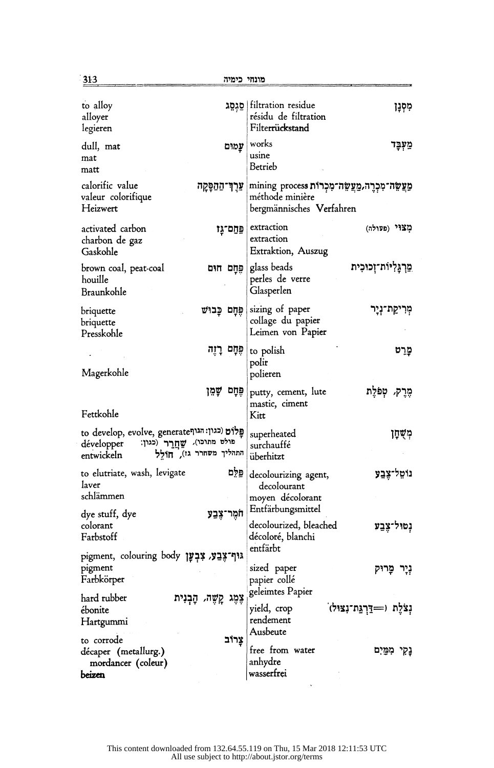| to alloy<br>alloyer<br>legieren                                                                                                | filtration residue   סֵגְסֶג<br>מִסְנָן<br>résidu de filtration<br>Filterrückstand               |
|--------------------------------------------------------------------------------------------------------------------------------|--------------------------------------------------------------------------------------------------|
| dull, mat<br>עֲמוּם<br>mat<br>matt                                                                                             | works<br>מַעְבָד<br>usine<br>Betrieb                                                             |
| calorific value<br><b>עִרֶךְ־הַהַפְּקָה</b><br>valeur colorifique<br>Heizwert                                                  | מַעֲשֶׂה־מִכְרֶה,מַעֲשֶׂה־מִכְרוֹת mining process<br>méthode minière<br>bergmännisches Verfahren |
| activated carbon<br>פַּחַם־גַּו<br>charbon de gaz<br>Gaskohle                                                                  | extraction<br>מצוי (פעולה)<br>extraction<br>Extraktion, Auszug                                   |
| brown coal, peat-coal<br>פְחַם חום<br>houille<br>Braunkohle                                                                    | ִמֲרַגָּלִיּוֹת־זְכוּכִית<br>glass beads<br>perles de verre<br>Glasperlen                        |
| פִּחַם כֵּבוּשׁ<br>briquette<br>briquette<br>Presskohle                                                                        | sizing of paper<br>מְרִיקַת־נְיָר<br>collage du papier<br>Leimen von Papier                      |
| פֶּחָם רָזֶה<br>Magerkohle                                                                                                     | מַרֵט<br>to polish<br>polir<br>polieren                                                          |
| פֶּחָם שָׁמֵן<br>Fettkohle                                                                                                     | מֶרֶק, מְפֹלֵת<br>putty, cement, lute<br>mastic, ciment<br>Kitt                                  |
| to develop, evolve, generate (כגון: הגוף<br>פולט מתוכו), שַׁחֲרֶר (כגון:<br>développer<br>התהליך משחרר גז), חולל<br>entwickeln | מְשֶׁחַן<br>superheated<br>surchauffé<br>überhitzt                                               |
| פּלִם<br>to elutriate, wash, levigate<br>laver<br>schlämmen                                                                    | נוֹמֵל־צֵבֲעָ<br>decolourizing agent,<br>decolourant<br>moyen décolorant                         |
| חֹמֵר־צֶבֲעָ<br>dye stuff, dye<br>colorant<br>Farbstoff                                                                        | Entfärbungsmittel<br>decolourized, bleached<br>נִטוּל־צֵבֵע<br>décoloré, blanchi<br>entfärbt     |
| pigment, colouring body גּוּף־צֵבַע, צִבְעָן<br>pigment<br>Farbkörper                                                          | sized paper<br>נְיָר מָרוּק<br>papier collé<br>geleimtes Papier                                  |
| צֶמֶג קָשֶׁה, הָבְנִית<br>hard rubber<br>ébonite<br>Hartgummi                                                                  | נְצֹלֶת (=דַּרְגֵּת־נִצּוּל)<br>yield, crop<br>rendement<br>Ausbeute                             |
| צֵרוֹב<br>to corrode<br>décaper (metallurg.)<br>mordancer (coleur)<br>beizen                                                   | free from water<br>נָקי מִמַּיִם<br>anhydre<br>wasserfrei                                        |